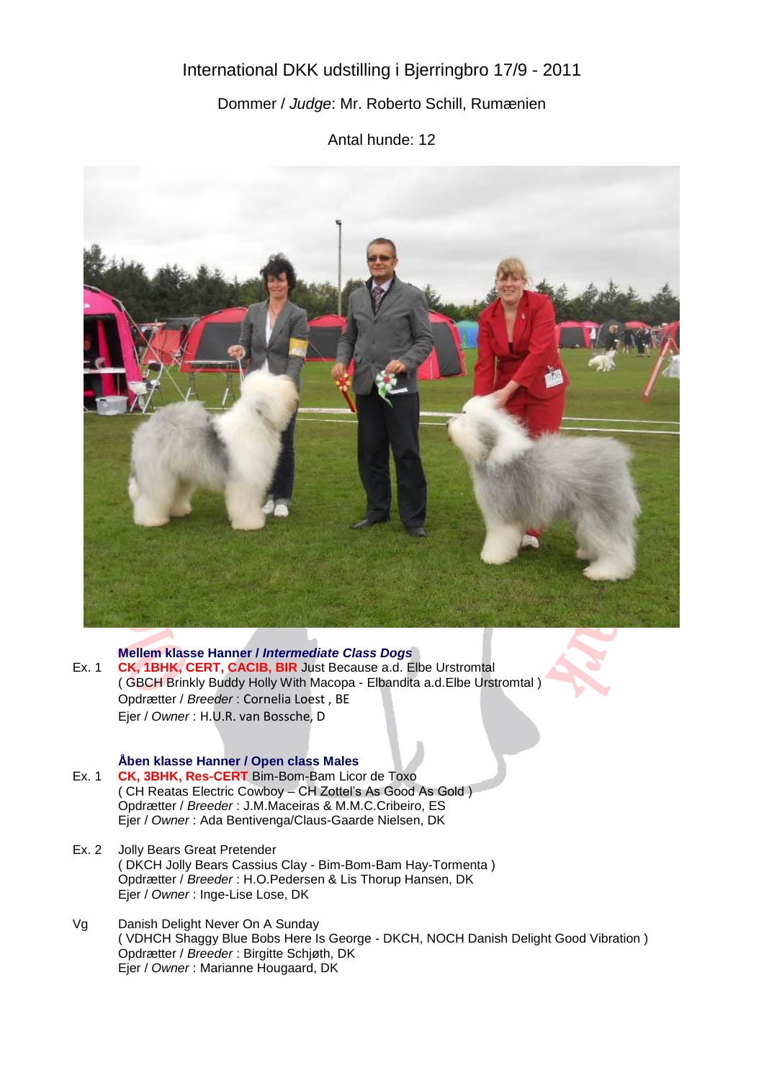# International DKK udstilling i Bjerringbro 17/9 - 2011

## Dommer / *Judge*: Mr. Roberto Schill, Rumænien

Antal hunde: 12



#### **Mellem klasse Hanner /** *Intermediate Class Dogs*

Ex. 1 **CK, 1BHK, CERT, CACIB, BIR** Just Because a.d. Elbe Urstromtal ( GBCH Brinkly Buddy Holly With Macopa - Elbandita a.d.Elbe Urstromtal ) Opdrætter / *Breeder* : Cornelia Loest , BE Ejer / *Owner* : H.U.R. van Bossche, D

#### **Åben klasse Hanner / Open class Males**

- Ex. 1 **CK, 3BHK, Res-CERT** Bim-Bom-Bam Licor de Toxo ( CH Reatas Electric Cowboy – CH Zottel's As Good As Gold ) Opdrætter / *Breeder* : J.M.Maceiras & M.M.C.Cribeiro, ES Ejer / *Owner* : Ada Bentivenga/Claus-Gaarde Nielsen, DK
- Ex. 2 Jolly Bears Great Pretender ( DKCH Jolly Bears Cassius Clay - Bim-Bom-Bam Hay-Tormenta ) Opdrætter / *Breeder* : H.O.Pedersen & Lis Thorup Hansen, DK Ejer / *Owner* : Inge-Lise Lose, DK
- Vg Danish Delight Never On A Sunday ( VDHCH Shaggy Blue Bobs Here Is George - DKCH, NOCH Danish Delight Good Vibration ) Opdrætter / *Breeder* : Birgitte Schjøth, DK Ejer / *Owner* : Marianne Hougaard, DK